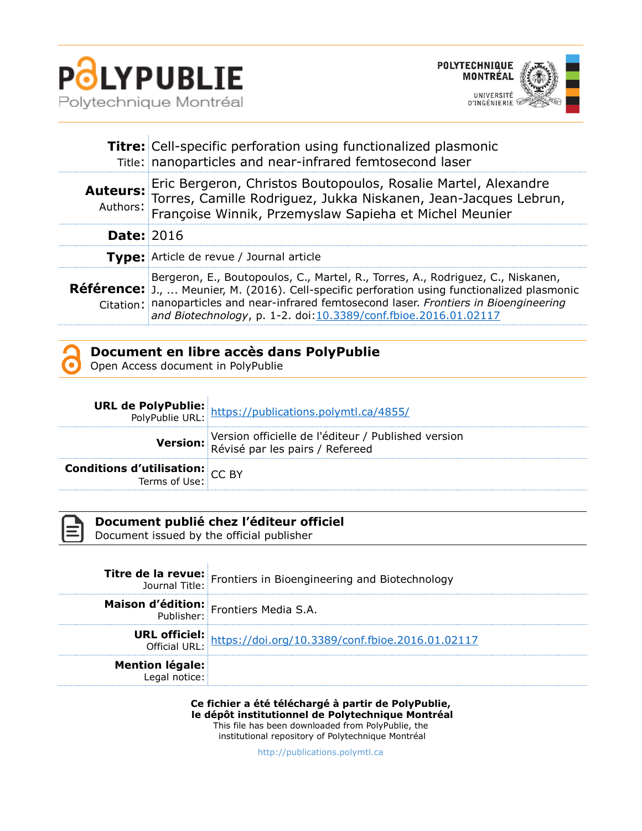



|                   | Titre: Cell-specific perforation using functionalized plasmonic<br>Title: nanoparticles and near-infrared femtosecond laser                                                                                                                                                                                                                           |  |
|-------------------|-------------------------------------------------------------------------------------------------------------------------------------------------------------------------------------------------------------------------------------------------------------------------------------------------------------------------------------------------------|--|
|                   | Auteurs: Eric Bergeron, Christos Boutopoulos, Rosalie Martel, Alexandre<br>Torres, Camille Rodriguez, Jukka Niskanen, Jean-Jacques Lebrun,<br>Authors: Françoise Winnik, Przemyslaw Sapieha et Michel Meunier                                                                                                                                         |  |
| <b>Date: 2016</b> |                                                                                                                                                                                                                                                                                                                                                       |  |
|                   | Type: Article de revue / Journal article                                                                                                                                                                                                                                                                                                              |  |
|                   | Bergeron, E., Boutopoulos, C., Martel, R., Torres, A., Rodriguez, C., Niskanen,<br><b>Référence:</b> J.,  Meunier, M. (2016). Cell-specific perforation using functionalized plasmonic<br>Citation: nanoparticles and near-infrared femtosecond laser. Frontiers in Bioengineering<br>and Biotechnology, p. 1-2. doi:10.3389/conf.fbioe.2016.01.02117 |  |

| Document en libre accès dans PolyPublie |
|-----------------------------------------|
|                                         |

Open Access document in PolyPublie

|                                                           | <b>URL de PolyPublie:</b> https://publications.polymtl.ca/4855/<br>PolyPublie URL: https://publications.polymtl.ca/4855/ |
|-----------------------------------------------------------|--------------------------------------------------------------------------------------------------------------------------|
|                                                           | Version officielle de l'éditeur / Published version<br>Révisé par les pairs / Refereed                                   |
| <b>Conditions d'utilisation:</b> $CC$ BY<br>Terms of Use: |                                                                                                                          |



## **Document publié chez l'éditeur officiel**

Document issued by the official publisher

|                                         | <b>Titre de la revue:</b> Frontiers in Bioengineering and Biotechnology<br>Journal Title: |
|-----------------------------------------|-------------------------------------------------------------------------------------------|
|                                         | Maison d'édition: Frontiers Media S.A.                                                    |
|                                         | <b>URL officiel:</b><br>Official URL: https://doi.org/10.3389/conf.fbioe.2016.01.02117    |
| <b>Mention légale:</b><br>Legal notice: |                                                                                           |

**Ce fichier a été téléchargé à partir de PolyPublie, le dépôt institutionnel de Polytechnique Montréal** This file has been downloaded from PolyPublie, the institutional repository of Polytechnique Montréal

[http://publications.polymtl.ca](http://publications.polymtl.ca/)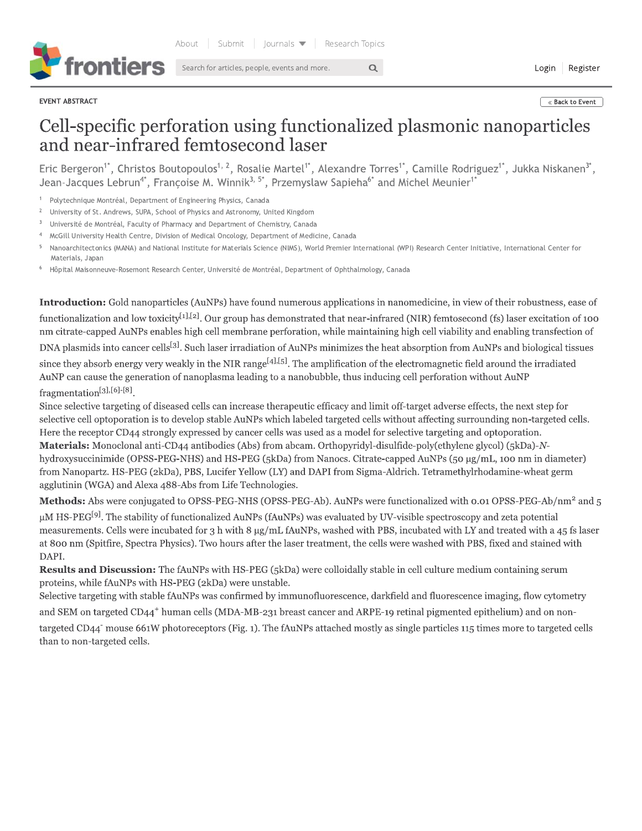

Search for articles, people, events and more.

EVENT ABSTRACT

« Back to Event

## Cell-specific perforation using functionalized plasmonic nanoparticles and near-infrared femtosecond laser

 $\alpha$ 

Eric Bergeron<sup>1\*</sup>, Christos Boutopoulos<sup>1, 2</sup>, Rosalie Martel<sup>1\*</sup>, Alexandre Torres<sup>1\*</sup>, Camille Rodriguez<sup>1\*</sup>, Jukka Niskanen<sup>3\*</sup>, Jean-Jacques Lebrun<sup>4\*</sup>, Françoise M. Winnik<sup>3, 5\*</sup>, Przemyslaw Sapieha<sup>6\*</sup> and Michel Meunier<sup>1\*</sup>

Polytechnique Montréal, Department of Engineering Physics, Canada

 $\,2$ University of St. Andrews, SUPA, School of Physics and Astronomy, United Kingdom

- $\overline{3}$ Université de Montréal, Faculty of Pharmacy and Department of Chemistry, Canada
- McGill University Health Centre, Division of Medical Oncology, Department of Medicine, Canada
- Nanoarchitectonics (MANA) and National Institute for Materials Science (NIMS), World Premier International (WPI) Research Center Initiative, International Center for Materials, Japan
- Hôpital Maisonneuve-Rosemont Research Center, Université de Montréal, Department of Ophthalmology, Canada

**Introduction:** Gold nanoparticles (AuNPs) have found numerous applications in nanomedicine, in view of their robustness, ease of functionalization and low toxicity<sup>[1],[2]</sup>. Our group has demonstrated that near-infrared (NIR) femtosecond (fs) laser excitation of 100 nm citrate-capped AuNPs enables high cell membrane perforation, while maintaining high cell viability and enabling transfection of

DNA plasmids into cancer cells<sup>[3]</sup>. Such laser irradiation of AuNPs minimizes the heat absorption from AuNPs and biological tissues

since they absorb energy very weakly in the NIR range<sup>[4],[5]</sup>. The amplification of the electromagnetic field around the irradiated AuNP can cause the generation of nanoplasma leading to a nanobubble, thus inducing cell perforation without AuNP fragmentation[3],[6]-[8].

Since selective targeting of diseased cells can increase therapeutic efficacy and limit off-target adverse effects, the next step for selective cell optoporation is to develop stable AuNPs which labeled targeted cells without affecting surrounding non-targeted cells. Here the receptor CD44 strongly expressed by cancer cells was used as a model for selective targeting and optoporation. Materials: Monoclonal anti-CD44 antibodies (Abs) from abcam. Orthopyridyl-disulfide-poly(ethylene glycol) (5kDa)-Nhydroxysuccinimide (OPSS-PEG-NHS) and HS-PEG (5kDa) from Nanocs. Citrate-capped AuNPs (50 µg/mL, 100 nm in diameter) from Nanopartz. HS-PEG (2kDa), PBS, Lucifer Yellow (LY) and DAPI from Sigma-Aldrich. Tetramethylrhodamine-wheat germ agglutinin (WGA) and Alexa 488-Abs from Life Technologies.

Methods: Abs were conjugated to OPSS-PEG-NHS (OPSS-PEG-Ab). AuNPs were functionalized with 0.01 OPSS-PEG-Ab/nm<sup>2</sup> and 5

 $\mu$ M HS-PEG<sup>[9]</sup>. The stability of functionalized AuNPs (fAuNPs) was evaluated by UV-visible spectroscopy and zeta potential measurements. Cells were incubated for 3 h with 8 µg/mL fAuNPs, washed with PBS, incubated with LY and treated with a 45 fs laser at 800 nm (Spitfire, Spectra Physics). Two hours after the laser treatment, the cells were washed with PBS, fixed and stained with DAPI.

**Results and Discussion:** The fAuNPs with HS-PEG (5kDa) were colloidally stable in cell culture medium containing serum proteins, while fAuNPs with HS-PEG (2kDa) were unstable.

Selective targeting with stable fAuNPs was confirmed by immunofluorescence, darkfield and fluorescence imaging, flow cytometry and SEM on targeted CD44<sup>+</sup> human cells (MDA-MB-231 breast cancer and ARPE-19 retinal pigmented epithelium) and on nontargeted CD44<sup>-</sup> mouse 661W photoreceptors (Fig. 1). The fAuNPs attached mostly as single particles 115 times more to targeted cells than to non-targeted cells.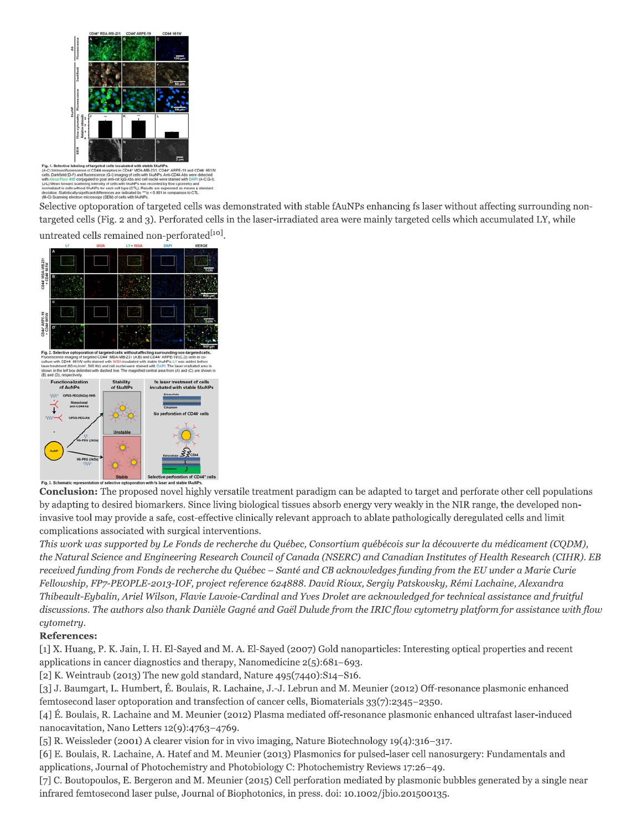

Selective optoporation of targeted cells was demonstrated with stable fAuNPs enhancing fs laser without affecting surrounding nontargeted cells (Fig. 2 and 3). Perforated cells in the laser-irradiated area were mainly targeted cells which accumulated LY, while untreated cells remained non-perforated<sup>[10]</sup>.



**Conclusion:** The proposed novel highly versatile treatment paradigm can be adapted to target and perforate other cell populations by adapting to desired biomarkers. Since living biological tissues absorb energy very weakly in the NIR range, the developed noninvasive tool may provide a safe, cost-effective clinically relevant approach to ablate pathologically deregulated cells and limit complications associated with surgical interventions.

This work was supported by Le Fonds de recherche du Québec, Consortium québécois sur la découverte du médicament (CQDM), the Natural Science and Engineering Research Council of Canada (NSERC) and Canadian Institutes of Health Research (CIHR). EB received funding from Fonds de recherche du Québec - Santé and CB acknowledges funding from the EU under a Marie Curie Fellowship, FP7-PEOPLE-2013-IOF, project reference 624888. David Rioux, Sergiy Patskovsky, Rémi Lachaine, Alexandra Thibeault-Eybalin, Ariel Wilson, Flavie Lavoie-Cardinal and Yves Drolet are acknowledged for technical assistance and fruitful discussions. The authors also thank Danièle Gagné and Gaël Dulude from the IRIC flow cytometry platform for assistance with flow cytometry.

## **References:**

[1] X. Huang, P. K. Jain, I. H. El-Sayed and M. A. El-Sayed (2007) Gold nanoparticles: Interesting optical properties and recent applications in cancer diagnostics and therapy, Nanomedicine  $2(5):681-693$ .

[2] K. Weintraub (2013) The new gold standard, Nature  $495(7440):S14-S16$ .

[3] J. Baumgart, L. Humbert, É. Boulais, R. Lachaine, J.-J. Lebrun and M. Meunier (2012) Off-resonance plasmonic enhanced femtosecond laser optoporation and transfection of cancer cells, Biomaterials  $33(7)$ :2345-2350.

[4] É. Boulais, R. Lachaine and M. Meunier (2012) Plasma mediated off-resonance plasmonic enhanced ultrafast laser-induced nanocavitation, Nano Letters 12(9):4763-4769.

[5] R. Weissleder (2001) A clearer vision for in vivo imaging, Nature Biotechnology  $19(4)$ ; 316-317.

[6] E. Boulais, R. Lachaine, A. Hatef and M. Meunier (2013) Plasmonics for pulsed-laser cell nanosurgery: Fundamentals and applications, Journal of Photochemistry and Photobiology C: Photochemistry Reviews 17:26–49.

[7] C. Boutopoulos, E. Bergeron and M. Meunier (2015) Cell perforation mediated by plasmonic bubbles generated by a single near infrared femtosecond laser pulse, Journal of Biophotonics, in press. doi: 10.1002/jbio.201500135.